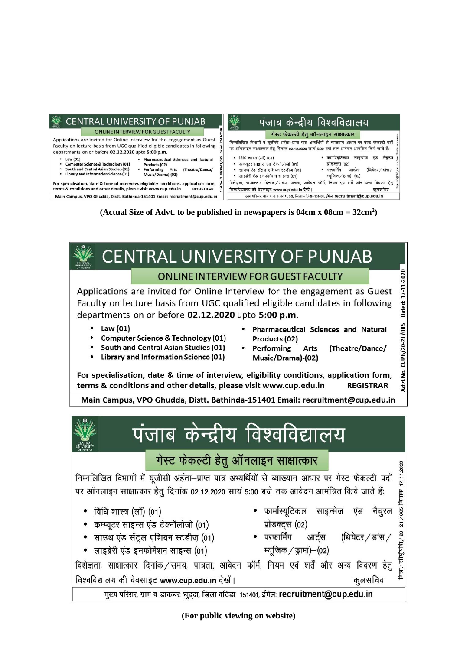

**(Actual Size of Advt. to be published in newspapers is 04cm x 08cm = 32cm<sup>2</sup> )**



**(For public viewing on website)**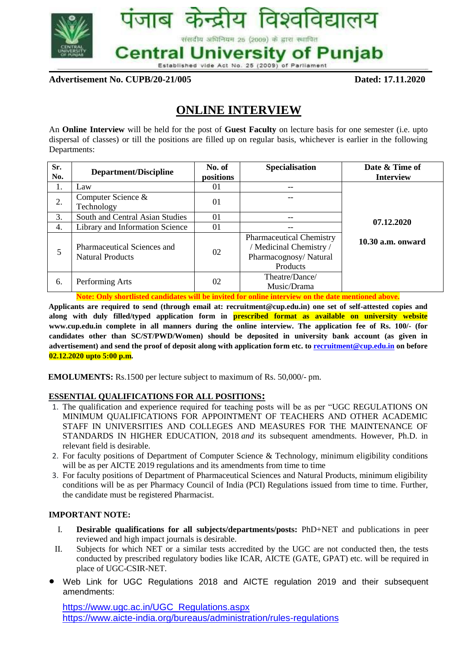

**Advertisement No. CUPB/20-21/005 Dated: 17.11.2020**

# **ONLINE INTERVIEW**

An **Online Interview** will be held for the post of **Guest Faculty** on lecture basis for one semester (i.e. upto dispersal of classes) or till the positions are filled up on regular basis, whichever is earlier in the following Departments:

| Sr.<br>No. | <b>Department/Discipline</b>                           | No. of<br>positions | <b>Specialisation</b>                                                                           | Date & Time of<br><b>Interview</b> |
|------------|--------------------------------------------------------|---------------------|-------------------------------------------------------------------------------------------------|------------------------------------|
| 1.         | Law                                                    | 01                  |                                                                                                 |                                    |
| 2.         | Computer Science &<br>Technology                       | 01                  |                                                                                                 |                                    |
| 3.         | South and Central Asian Studies                        | 01                  |                                                                                                 | 07.12.2020                         |
| 4.         | Library and Information Science                        | 01                  |                                                                                                 |                                    |
| 5          | Pharmaceutical Sciences and<br><b>Natural Products</b> | 02                  | <b>Pharmaceutical Chemistry</b><br>/ Medicinal Chemistry /<br>Pharmacognosy/Natural<br>Products | 10.30 a.m. onward                  |
| 6.         | Performing Arts                                        | 02                  | Theatre/Dance/<br>Music/Drama                                                                   |                                    |

**Note: Only shortlisted candidates will be invited for online interview on the date mentioned above.**

**Applicants are required to send (through email at: recruitment@cup.edu.in) one set of self-attested copies and along with duly filled/typed application form in prescribed format as available on university website www.cup.edu.in complete in all manners during the online interview. The application fee of Rs. 100/- (for candidates other than SC/ST/PWD/Women) should be deposited in university bank account (as given in advertisement) and send the proof of deposit along with application form etc. to [recruitment@cup.edu.in](mailto:recruitment@cup.edu.in) on before 02.12.2020 upto 5:00 p.m.**

**EMOLUMENTS:** Rs.1500 per lecture subject to maximum of Rs. 50,000/- pm.

## **ESSENTIAL QUALIFICATIONS FOR ALL POSITIONS:**

- 1. The qualification and experience required for teaching posts will be as per ["UGC REGULATIONS ON](https://www.ugc.ac.in/pdfnews/4033931_UGC-Regulation_min_Qualification_Jul2018.pdf)  [MINIMUM QUALIFICATIONS FOR APPOINTMENT OF TEACHERS AND OTHER ACADEMIC](https://www.ugc.ac.in/pdfnews/4033931_UGC-Regulation_min_Qualification_Jul2018.pdf)  [STAFF IN UNIVERSITIES AND COLLEGES AND MEASURES FOR THE MAINTENANCE OF](https://www.ugc.ac.in/pdfnews/4033931_UGC-Regulation_min_Qualification_Jul2018.pdf)  [STANDARDS IN HIGHER EDUCATION, 2018](https://www.ugc.ac.in/pdfnews/4033931_UGC-Regulation_min_Qualification_Jul2018.pdf) *and* its subsequent amendments. However, Ph.D. in relevant field is desirable.
- 2. For faculty positions of Department of Computer Science & Technology, minimum eligibility conditions will be as per AICTE 2019 regulations and its amendments from time to time
- 3. For faculty positions of Department of Pharmaceutical Sciences and Natural Products, minimum eligibility conditions will be as per Pharmacy Council of India (PCI) Regulations issued from time to time. Further, the candidate must be registered Pharmacist.

#### **IMPORTANT NOTE:**

- I. **Desirable qualifications for all subjects/departments/posts:** PhD+NET and publications in peer reviewed and high impact journals is desirable.
- II. Subjects for which NET or a similar tests accredited by the UGC are not conducted then, the tests conducted by prescribed regulatory bodies like ICAR, AICTE (GATE, GPAT) etc. will be required in place of UGC-CSIR-NET.
- Web Link for UGC Regulations 2018 and AICTE regulation 2019 and their subsequent amendments:

[https://www.ugc.ac.in/UGC\\_Regulations.aspx](https://www.ugc.ac.in/UGC_Regulations.aspx) <https://www.aicte-india.org/bureaus/administration/rules-regulations>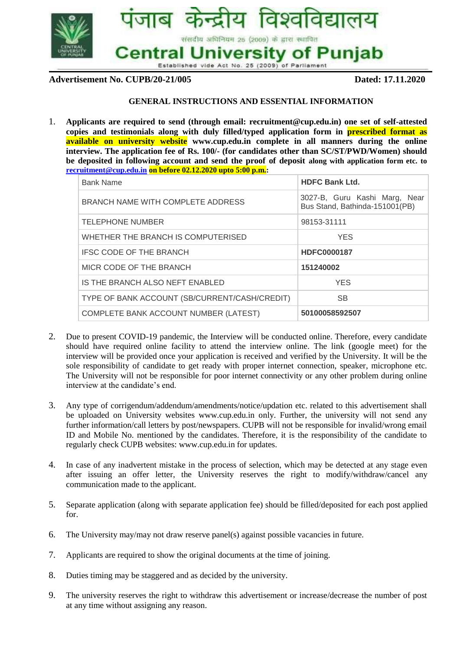

**Advertisement No. CUPB/20-21/005 Dated: 17.11.2020**

#### **GENERAL INSTRUCTIONS AND ESSENTIAL INFORMATION**

1. **Applicants are required to send (through email: recruitment@cup.edu.in) one set of self-attested copies and testimonials along with duly filled/typed application form in prescribed format as available on university website www.cup.edu.in complete in all manners during the online interview. The application fee of Rs. 100/- (for candidates other than SC/ST/PWD/Women) should be deposited in following account and send the proof of deposit along with application form etc. to [recruitment@cup.edu.in](mailto:recruitment@cup.edu.in) on before 02.12.2020 upto 5:00 p.m.:**

| <b>Bank Name</b>                              | <b>HDFC Bank Ltd.</b>                                           |  |
|-----------------------------------------------|-----------------------------------------------------------------|--|
| BRANCH NAME WITH COMPLETE ADDRESS             | 3027-B, Guru Kashi Marg, Near<br>Bus Stand, Bathinda-151001(PB) |  |
| <b>TELEPHONE NUMBER</b>                       | 98153-31111                                                     |  |
| WHETHER THE BRANCH IS COMPUTERISED            | <b>YES</b>                                                      |  |
| <b>IFSC CODE OF THE BRANCH</b>                | <b>HDFC0000187</b>                                              |  |
| MICR CODE OF THE BRANCH                       | 151240002                                                       |  |
| IS THE BRANCH ALSO NEFT ENABLED               | <b>YES</b>                                                      |  |
| TYPE OF BANK ACCOUNT (SB/CURRENT/CASH/CREDIT) | <b>SB</b>                                                       |  |
| COMPLETE BANK ACCOUNT NUMBER (LATEST)         | 50100058592507                                                  |  |

- 2. Due to present COVID-19 pandemic, the Interview will be conducted online. Therefore, every candidate should have required online facility to attend the interview online. The link (google meet) for the interview will be provided once your application is received and verified by the University. It will be the sole responsibility of candidate to get ready with proper internet connection, speaker, microphone etc. The University will not be responsible for poor internet connectivity or any other problem during online interview at the candidate's end.
- 3. Any type of corrigendum/addendum/amendments/notice/updation etc. related to this advertisement shall be uploaded on University websites www.cup.edu.in only. Further, the university will not send any further information/call letters by post/newspapers. CUPB will not be responsible for invalid/wrong email ID and Mobile No. mentioned by the candidates. Therefore, it is the responsibility of the candidate to regularly check CUPB websites: www.cup.edu.in for updates.
- 4. In case of any inadvertent mistake in the process of selection, which may be detected at any stage even after issuing an offer letter, the University reserves the right to modify/withdraw/cancel any communication made to the applicant.
- 5. Separate application (along with separate application fee) should be filled/deposited for each post applied for.
- 6. The University may/may not draw reserve panel(s) against possible vacancies in future.
- 7. Applicants are required to show the original documents at the time of joining.
- 8. Duties timing may be staggered and as decided by the university.
- 9. The university reserves the right to withdraw this advertisement or increase/decrease the number of post at any time without assigning any reason.